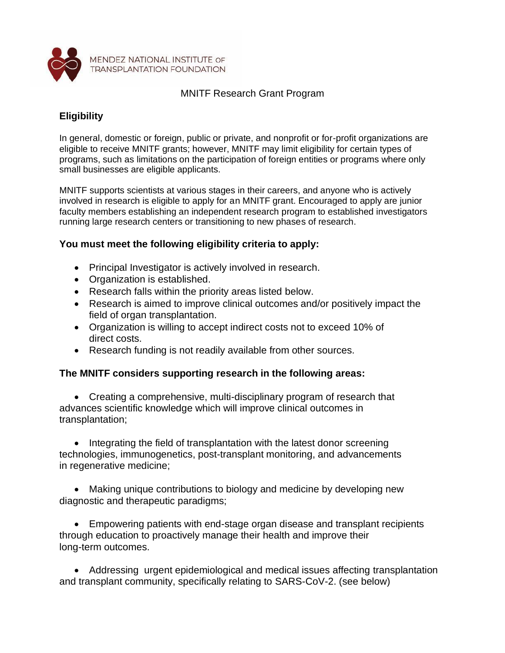

## MNITF Research Grant Program

## **Eligibility**

In general, domestic or foreign, public or private, and nonprofit or for-profit organizations are eligible to receive MNITF grants; however, MNITF may limit eligibility for certain types of programs, such as limitations on the participation of foreign entities or programs where only small businesses are eligible applicants.

MNITF supports scientists at various stages in their careers, and anyone who is actively involved in research is eligible to apply for an MNITF grant. Encouraged to apply are junior faculty members establishing an independent research program to established investigators running large research centers or transitioning to new phases of research.

## **You must meet the following eligibility criteria to apply:**

- Principal Investigator is actively involved in research.
- Organization is established.
- Research falls within the priority areas listed below.
- Research is aimed to improve clinical outcomes and/or positively impact the field of organ transplantation.
- Organization is willing to accept indirect costs not to exceed 10% of direct costs.
- Research funding is not readily available from other sources.

## **The MNITF considers supporting research in the following areas:**

• Creating a comprehensive, multi-disciplinary program of research that advances scientific knowledge which will improve clinical outcomes in transplantation;

• Integrating the field of transplantation with the latest donor screening technologies, immunogenetics, post-transplant monitoring, and advancements in regenerative medicine;

• Making unique contributions to biology and medicine by developing new diagnostic and therapeutic paradigms;

• Empowering patients with end-stage organ disease and transplant recipients through education to proactively manage their health and improve their long-term outcomes.

• Addressing urgent epidemiological and medical issues affecting transplantation and transplant community, specifically relating to SARS-CoV-2. (see below)